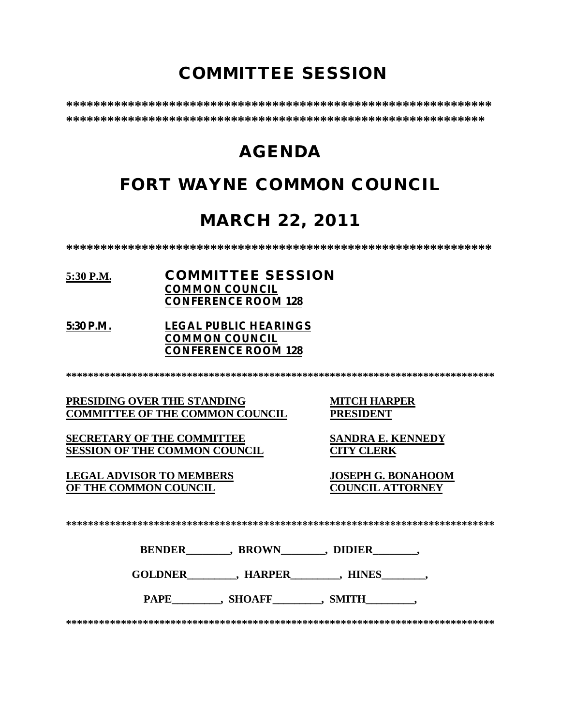# **COMMITTEE SESSION**

**\*\*\*\*\*\*\*\*\*\*\*\*\*\*\*\*\*\*\*\*\*\*\*\*\*\*\*\*\*\*\*\*\*\*\*\*\*\*\*\*\*\*\*\*\*\*\*\*\*\*\*\*\*\*\*\*\*\*\*\*\*\* \*\*\*\*\*\*\*\*\*\*\*\*\*\*\*\*\*\*\*\*\*\*\*\*\*\*\*\*\*\*\*\*\*\*\*\*\*\*\*\*\*\*\*\*\*\*\*\*\*\*\*\*\*\*\*\*\*\*\*\*\***

# **AGENDA**

# **FORT WAYNE COMMON COUNCIL**

# **MARCH 22, 2011**

**\*\*\*\*\*\*\*\*\*\*\*\*\*\*\*\*\*\*\*\*\*\*\*\*\*\*\*\*\*\*\*\*\*\*\*\*\*\*\*\*\*\*\*\*\*\*\*\*\*\*\*\*\*\*\*\*\*\*\*\*\*\***

#### **5:30 P.M. COMMITTEE SESSION COMMON COUNCIL CONFERENCE ROOM 128**

**5:30 P.M. LEGAL PUBLIC HEARINGS COMMON COUNCIL CONFERENCE ROOM 128**

**\*\*\*\*\*\*\*\*\*\*\*\*\*\*\*\*\*\*\*\*\*\*\*\*\*\*\*\*\*\*\*\*\*\*\*\*\*\*\*\*\*\*\*\*\*\*\*\*\*\*\*\*\*\*\*\*\*\*\*\*\*\*\*\*\*\*\*\*\*\*\*\*\*\*\*\*\*\***

**PRESIDING OVER THE STANDING MITCH HARPER<br>
COMMITTEE OF THE COMMON COUNCIL PRESIDENT COMMITTEE OF THE COMMON COUNCIL** 

**SECRETARY OF THE COMMITTEE SANDRA E. KENNEDY SESSION OF THE COMMON COUNCIL CITY CLERK**

**LEGAL ADVISOR TO MEMBERS JOSEPH G. BONAHOOM OF THE COMMON COUNCIL** 

**\*\*\*\*\*\*\*\*\*\*\*\*\*\*\*\*\*\*\*\*\*\*\*\*\*\*\*\*\*\*\*\*\*\*\*\*\*\*\*\*\*\*\*\*\*\*\*\*\*\*\*\*\*\*\*\*\*\*\*\*\*\*\*\*\*\*\*\*\*\*\*\*\*\*\*\*\*\***

**BENDER** , BROWN , DIDIER

**GOLDNER\_\_\_\_\_\_\_\_\_, HARPER\_\_\_\_\_\_\_\_\_, HINES\_\_\_\_\_\_\_\_,** 

PAPE , SHOAFF , SMITH

**\*\*\*\*\*\*\*\*\*\*\*\*\*\*\*\*\*\*\*\*\*\*\*\*\*\*\*\*\*\*\*\*\*\*\*\*\*\*\*\*\*\*\*\*\*\*\*\*\*\*\*\*\*\*\*\*\*\*\*\*\*\*\*\*\*\*\*\*\*\*\*\*\*\*\*\*\*\***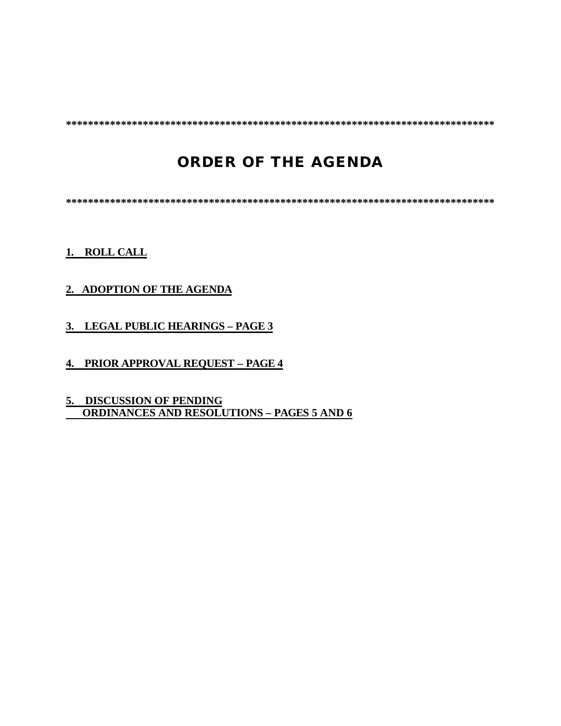**\*\*\*\*\*\*\*\*\*\*\*\*\*\*\*\*\*\*\*\*\*\*\*\*\*\*\*\*\*\*\*\*\*\*\*\*\*\*\*\*\*\*\*\*\*\*\*\*\*\*\*\*\*\*\*\*\*\*\*\*\*\*\*\*\*\*\*\*\*\*\*\*\*\*\*\*\*\***

# **ORDER OF THE AGENDA**

**\*\*\*\*\*\*\*\*\*\*\*\*\*\*\*\*\*\*\*\*\*\*\*\*\*\*\*\*\*\*\*\*\*\*\*\*\*\*\*\*\*\*\*\*\*\*\*\*\*\*\*\*\*\*\*\*\*\*\*\*\*\*\*\*\*\*\*\*\*\*\*\*\*\*\*\*\*\***

#### **1. ROLL CALL**

#### **2. ADOPTION OF THE AGENDA**

- **3. LEGAL PUBLIC HEARINGS PAGE 3**
- **4. PRIOR APPROVAL REQUEST PAGE 4**
- **5. DISCUSSION OF PENDING ORDINANCES AND RESOLUTIONS – PAGES 5 AND 6**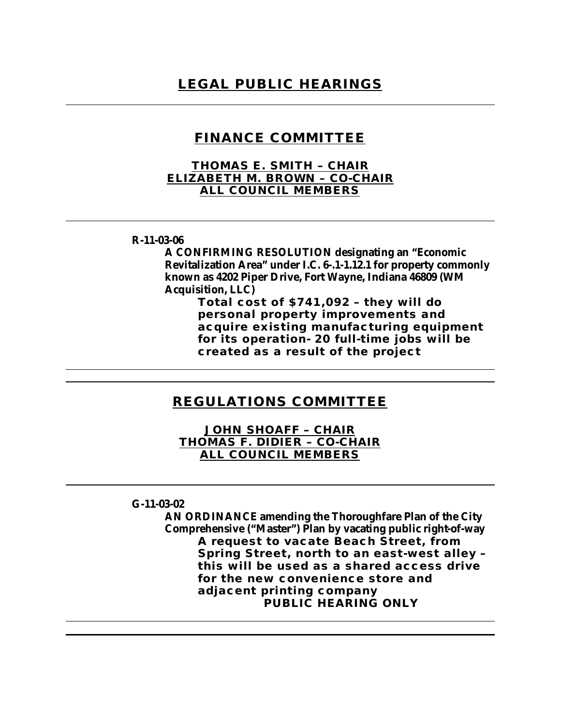### **FINANCE COMMITTEE**

#### **THOMAS E. SMITH – CHAIR ELIZABETH M. BROWN – CO-CHAIR ALL COUNCIL MEMBERS**

#### **R-11-03-06**

**A CONFIRMING RESOLUTION designating an "Economic Revitalization Area" under I.C. 6-.1-1.12.1 for property commonly known as 4202 Piper Drive, Fort Wayne, Indiana 46809 (WM Acquisition, LLC)**

**Total cost of \$741,092 – they will do personal property improvements and acquire existing manufacturing equipment for its operation- 20 full-time jobs will be created as a result of the project**

### **REGULATIONS COMMITTEE**

**JOHN SHOAFF – CHAIR THOMAS F. DIDIER – CO-CHAIR ALL COUNCIL MEMBERS**

#### **G-11-03-02**

**AN ORDINANCE amending the Thoroughfare Plan of the City Comprehensive ("Master") Plan by vacating public right-of-way A request to vacate Beach Street, from Spring Street, north to an east-west alley – this will be used as a shared access drive for the new convenience store and adjacent printing company PUBLIC HEARING ONLY**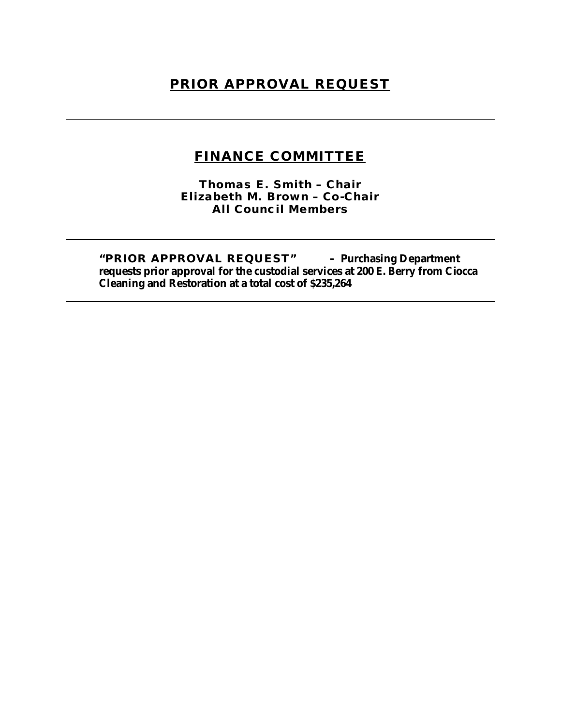### **PRIOR APPROVAL REQUEST**

### **FINANCE COMMITTEE**

**Thomas E. Smith – Chair Elizabeth M. Brown – Co-Chair All Council Members**

**"PRIOR APPROVAL REQUEST" - Purchasing Department requests prior approval for the custodial services at 200 E. Berry from Ciocca Cleaning and Restoration at a total cost of \$235,264**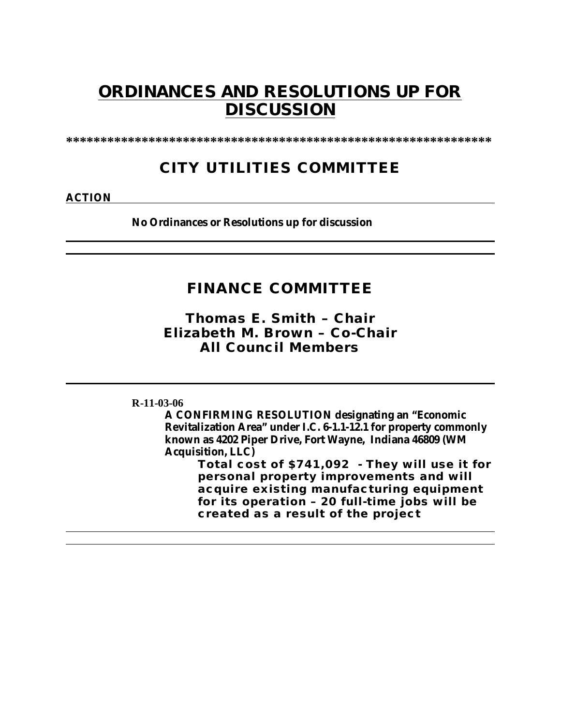# **ORDINANCES AND RESOLUTIONS UP FOR DISCUSSION**

**\*\*\*\*\*\*\*\*\*\*\*\*\*\*\*\*\*\*\*\*\*\*\*\*\*\*\*\*\*\*\*\*\*\*\*\*\*\*\*\*\*\*\*\*\*\*\*\*\*\*\*\*\*\*\*\*\*\*\*\*\*\***

### **CITY UTILITIES COMMITTEE**

**ACTION**

**No Ordinances or Resolutions up for discussion**

### **FINANCE COMMITTEE**

*Thomas E. Smith – Chair Elizabeth M. Brown – Co-Chair All Council Members*

**R-11-03-06**

**A CONFIRMING RESOLUTION designating an "Economic Revitalization Area" under I.C. 6-1.1-12.1 for property commonly known as 4202 Piper Drive, Fort Wayne, Indiana 46809 (WM Acquisition, LLC)**

> **Total cost of \$741,092 - They will use it for personal property improvements and will acquire existing manufacturing equipment for its operation – 20 full-time jobs will be created as a result of the project**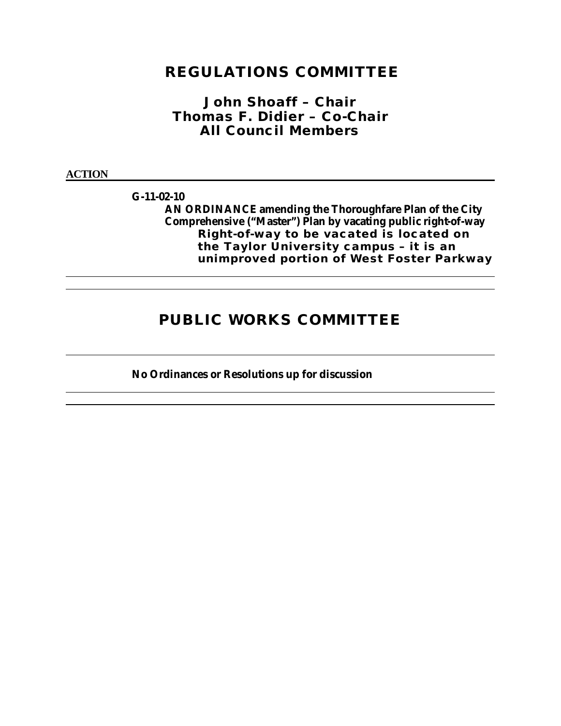### **REGULATIONS COMMITTEE**

*John Shoaff – Chair Thomas F. Didier – Co-Chair All Council Members*

**ACTION**

**G-11-02-10**

**AN ORDINANCE amending the Thoroughfare Plan of the City Comprehensive ("Master") Plan by vacating public right-of-way Right-of-way to be vacated is located on the Taylor University campus – it is an unimproved portion of West Foster Parkway** 

### **PUBLIC WORKS COMMITTEE**

**No Ordinances or Resolutions up for discussion**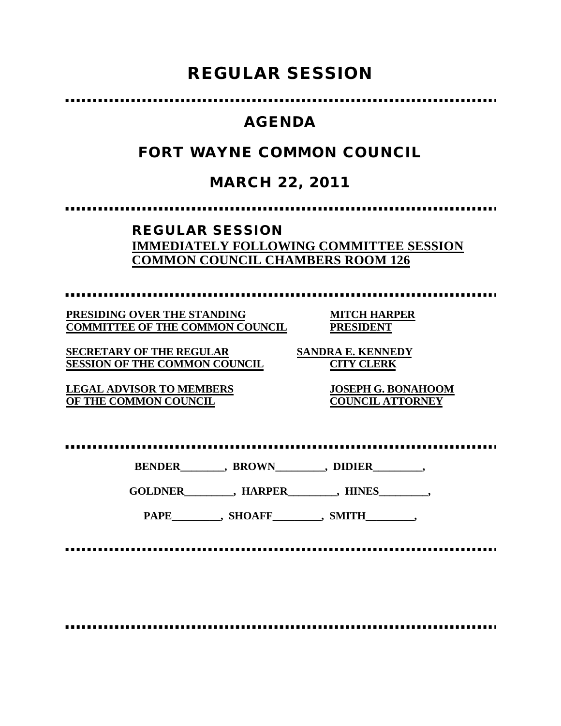# **REGULAR SESSION**

### **AGENDA**

### **FORT WAYNE COMMON COUNCIL**

### **MARCH 22, 2011**

### **REGULAR SESSION IMMEDIATELY FOLLOWING COMMITTEE SESSION COMMON COUNCIL CHAMBERS ROOM 126**

**PRESIDING OVER THE STANDING MITCH HARPER COMMITTEE OF THE COMMON COUNCIL PRESIDENT**

**SECRETARY OF THE REGULAR SANDRA E. KENNEDY SESSION OF THE COMMON COUNCIL CITY CLERK**

**OF THE COMMON COUNCIL** 

**LEGAL ADVISOR TO MEMBERS JOSEPH G. BONAHOOM**

**BENDER\_\_\_\_\_\_\_\_, BROWN\_\_\_\_\_\_\_\_\_, DIDIER\_\_\_\_\_\_\_\_\_,**

**GOLDNER\_\_\_\_\_\_\_\_\_, HARPER\_\_\_\_\_\_\_\_\_, HINES\_\_\_\_\_\_\_\_\_,**

PAPE\_\_\_\_\_\_\_\_, SHOAFF\_\_\_\_\_\_\_\_, SMITH\_\_\_\_\_\_\_\_,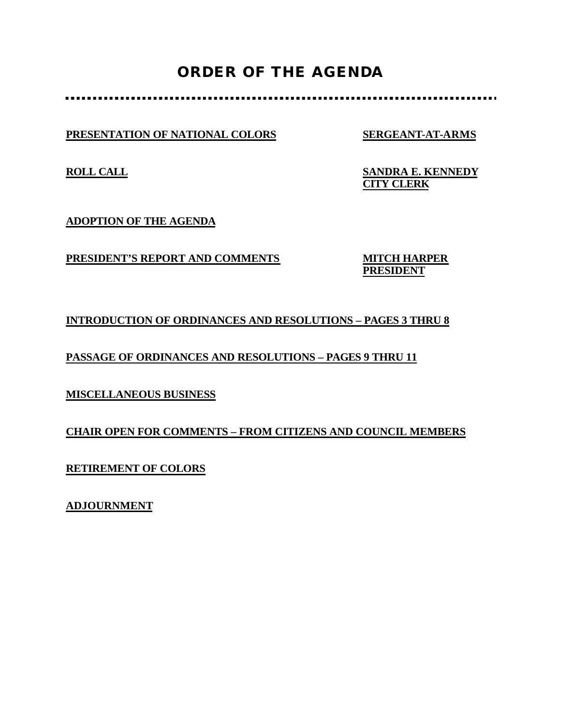## **ORDER OF THE AGENDA**

**PRESENTATION OF NATIONAL COLORS SERGEANT-AT-ARMS**

**ROLL CALL SANDRA E. KENNEDY CITY CLERK**

**ADOPTION OF THE AGENDA**

**PRESIDENT'S REPORT AND COMMENTS MITCH HARPER**

**PRESIDENT**

### **INTRODUCTION OF ORDINANCES AND RESOLUTIONS – PAGES 3 THRU 8**

**PASSAGE OF ORDINANCES AND RESOLUTIONS – PAGES 9 THRU 11**

**MISCELLANEOUS BUSINESS**

**CHAIR OPEN FOR COMMENTS – FROM CITIZENS AND COUNCIL MEMBERS**

**RETIREMENT OF COLORS**

**ADJOURNMENT**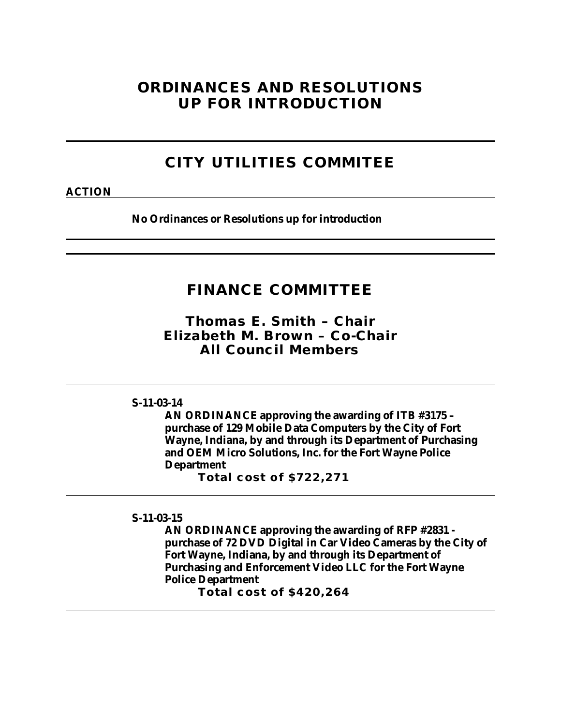### **ORDINANCES AND RESOLUTIONS UP FOR INTRODUCTION**

## **CITY UTILITIES COMMITEE**

#### **ACTION**

**No Ordinances or Resolutions up for introduction**

### **FINANCE COMMITTEE**

*Thomas E. Smith – Chair Elizabeth M. Brown – Co-Chair All Council Members*

#### **S-11-03-14**

**AN ORDINANCE approving the awarding of ITB #3175 – purchase of 129 Mobile Data Computers by the City of Fort Wayne, Indiana, by and through its Department of Purchasing and OEM Micro Solutions, Inc. for the Fort Wayne Police Department**

**Total cost of \$722,271**

**S-11-03-15**

**AN ORDINANCE approving the awarding of RFP #2831 purchase of 72 DVD Digital in Car Video Cameras by the City of Fort Wayne, Indiana, by and through its Department of Purchasing and Enforcement Video LLC for the Fort Wayne Police Department**

**Total cost of \$420,264**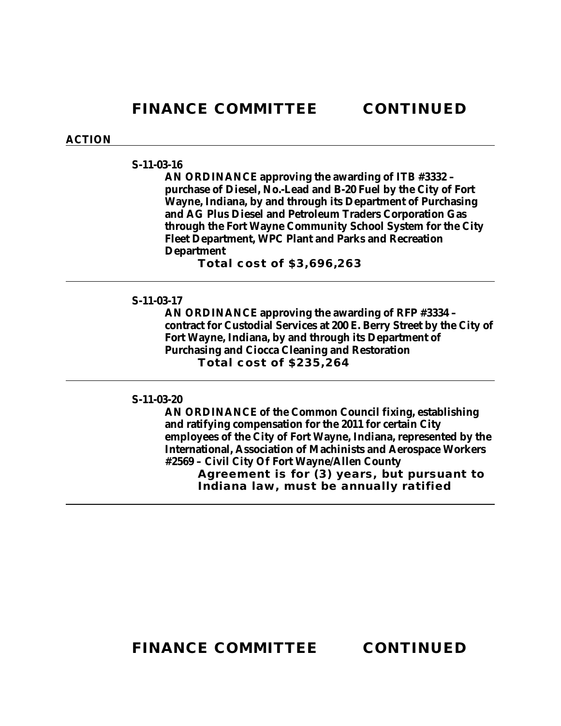#### **ACTION**

#### **S-11-03-16**

**AN ORDINANCE approving the awarding of ITB #3332 – purchase of Diesel, No.-Lead and B-20 Fuel by the City of Fort Wayne, Indiana, by and through its Department of Purchasing and AG Plus Diesel and Petroleum Traders Corporation Gas through the Fort Wayne Community School System for the City Fleet Department, WPC Plant and Parks and Recreation Department**

**Total cost of \$3,696,263**

#### **S-11-03-17**

**AN ORDINANCE approving the awarding of RFP #3334 – contract for Custodial Services at 200 E. Berry Street by the City of Fort Wayne, Indiana, by and through its Department of Purchasing and Ciocca Cleaning and Restoration Total cost of \$235,264**

#### **S-11-03-20**

**AN ORDINANCE of the Common Council fixing, establishing and ratifying compensation for the 2011 for certain City employees of the City of Fort Wayne, Indiana, represented by the International, Association of Machinists and Aerospace Workers #2569 – Civil City Of Fort Wayne/Allen County Agreement is for (3) years, but pursuant to Indiana law, must be annually ratified**

**FINANCE COMMITTEE CONTINUED**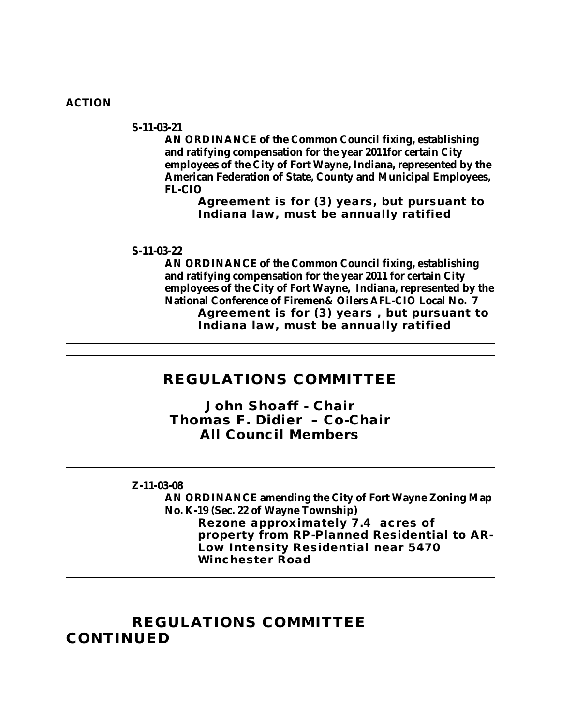#### **ACTION**

**S-11-03-21**

**AN ORDINANCE of the Common Council fixing, establishing and ratifying compensation for the year 2011for certain City employees of the City of Fort Wayne, Indiana, represented by the American Federation of State, County and Municipal Employees, FL-CIO**

**Agreement is for (3) years, but pursuant to Indiana law, must be annually ratified**

#### **S-11-03-22**

**AN ORDINANCE of the Common Council fixing, establishing and ratifying compensation for the year 2011 for certain City employees of the City of Fort Wayne, Indiana, represented by the National Conference of Firemen& Oilers AFL-CIO Local No. 7 Agreement is for (3) years , but pursuant to Indiana law, must be annually ratified**

### **REGULATIONS COMMITTEE**

*John Shoaff - Chair Thomas F. Didier – Co-Chair All Council Members*

#### **Z-11-03-08**

**AN ORDINANCE amending the City of Fort Wayne Zoning Map No. K-19 (Sec. 22 of Wayne Township) Rezone approximately 7.4 acres of property from RP-Planned Residential to AR-Low Intensity Residential near 5470 Winchester Road**

**REGULATIONS COMMITTEE CONTINUED**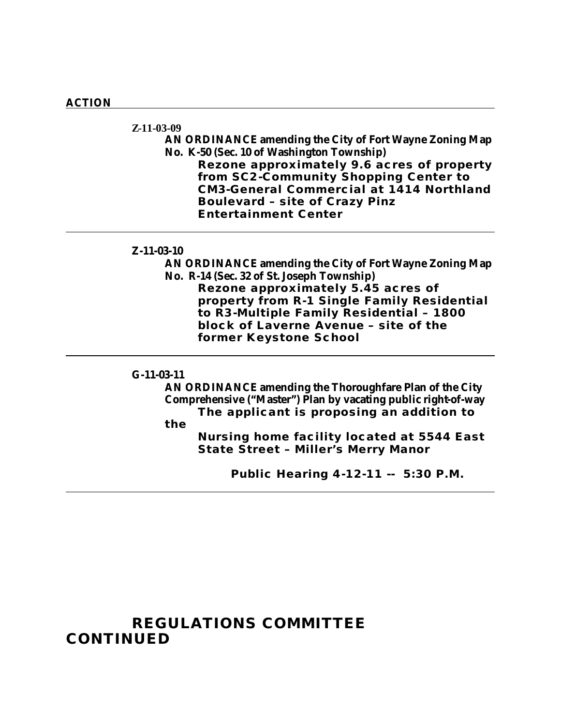#### **ACTION**

**Z-11-03-09**

**AN ORDINANCE amending the City of Fort Wayne Zoning Map No. K-50 (Sec. 10 of Washington Township)**

**Rezone approximately 9.6 acres of property from SC2-Community Shopping Center to CM3-General Commercial at 1414 Northland Boulevard – site of Crazy Pinz Entertainment Center**

#### **Z-11-03-10**

**AN ORDINANCE amending the City of Fort Wayne Zoning Map No. R-14 (Sec. 32 of St. Joseph Township) Rezone approximately 5.45 acres of property from R-1 Single Family Residential to R3-Multiple Family Residential – 1800 block of Laverne Avenue – site of the former Keystone School**

**G-11-03-11**

**AN ORDINANCE amending the Thoroughfare Plan of the City Comprehensive ("Master") Plan by vacating public right-of-way The applicant is proposing an addition to** 

**the** 

**Nursing home facility located at 5544 East State Street – Miller's Merry Manor**

**Public Hearing 4-12-11 -- 5:30 P.M.**

### **REGULATIONS COMMITTEE CONTINUED**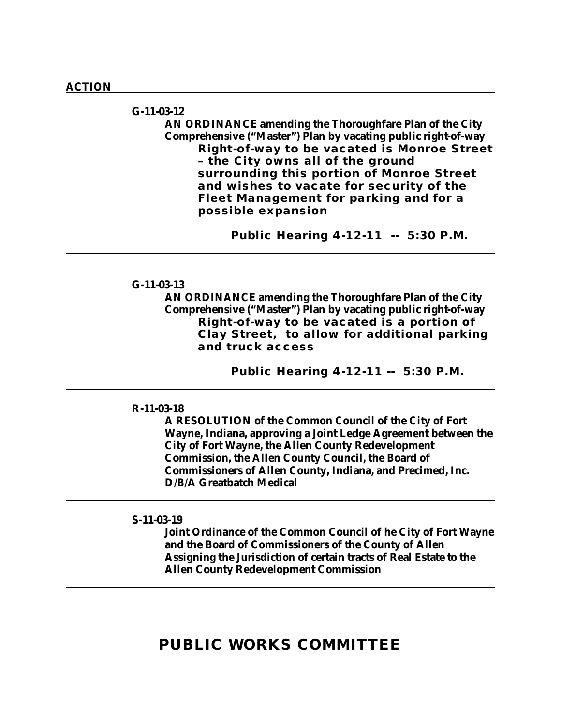**G-11-03-12 AN ORDINANCE amending the Thoroughfare Plan of the City Comprehensive ("Master") Plan by vacating public right-of-way Right-of-way to be vacated is Monroe Street – the City owns all of the ground surrounding this portion of Monroe Street and wishes to vacate for security of the Fleet Management for parking and for a possible expansion**

**Public Hearing 4-12-11 -- 5:30 P.M.**

#### **G-11-03-13**

**AN ORDINANCE amending the Thoroughfare Plan of the City Comprehensive ("Master") Plan by vacating public right-of-way Right-of-way to be vacated is a portion of Clay Street, to allow for additional parking and truck access**

**Public Hearing 4-12-11 -- 5:30 P.M.**

#### **R-11-03-18**

**A RESOLUTION of the Common Council of the City of Fort Wayne, Indiana, approving a Joint Ledge Agreement between the City of Fort Wayne, the Allen County Redevelopment Commission, the Allen County Council, the Board of Commissioners of Allen County, Indiana, and Precimed, Inc. D/B/A Greatbatch Medical**

#### **S-11-03-19**

**Joint Ordinance of the Common Council of he City of Fort Wayne and the Board of Commissioners of the County of Allen Assigning the Jurisdiction of certain tracts of Real Estate to the Allen County Redevelopment Commission**

### **PUBLIC WORKS COMMITTEE**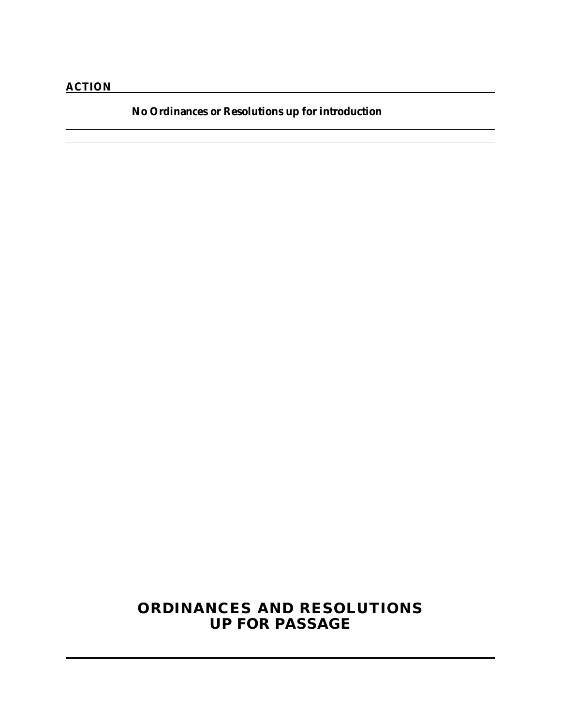**No Ordinances or Resolutions up for introduction**

<u> 1980 - Johann Stoff, deutscher Stoff, der Stoff, der Stoff, der Stoff, der Stoff, der Stoff, der Stoff, der S</u>

### **ORDINANCES AND RESOLUTIONS UP FOR PASSAGE**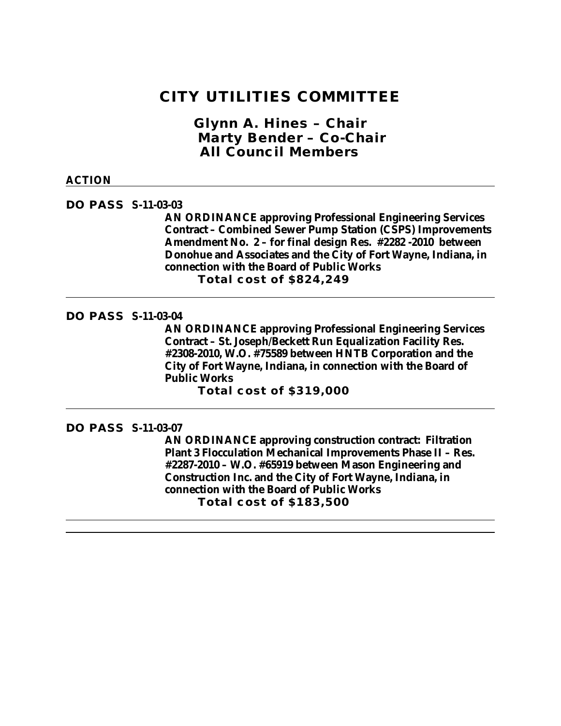### **CITY UTILITIES COMMITTEE**

*Glynn A. Hines – Chair Marty Bender – Co-Chair All Council Members*

#### **ACTION**

**DO PASS S-11-03-03**

**AN ORDINANCE approving Professional Engineering Services Contract – Combined Sewer Pump Station (CSPS) Improvements Amendment No. 2 – for final design Res. #2282 -2010 between Donohue and Associates and the City of Fort Wayne, Indiana, in connection with the Board of Public Works Total cost of \$824,249**

#### **DO PASS S-11-03-04**

**AN ORDINANCE approving Professional Engineering Services Contract – St. Joseph/Beckett Run Equalization Facility Res. #2308-2010, W.O. #75589 between HNTB Corporation and the City of Fort Wayne, Indiana, in connection with the Board of Public Works**

**Total cost of \$319,000**

#### **DO PASS S-11-03-07**

**AN ORDINANCE approving construction contract: Filtration Plant 3 Flocculation Mechanical Improvements Phase II – Res. #2287-2010 – W.O. #65919 between Mason Engineering and Construction Inc. and the City of Fort Wayne, Indiana, in connection with the Board of Public Works Total cost of \$183,500**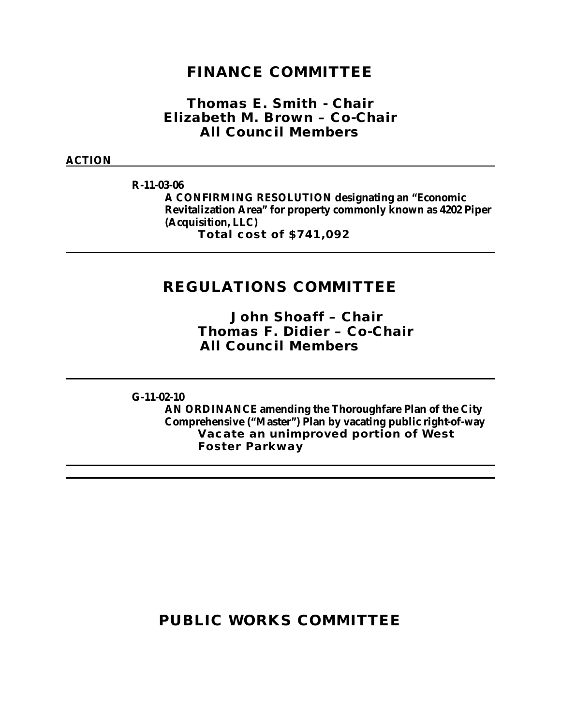### **FINANCE COMMITTEE**

*Thomas E. Smith - Chair Elizabeth M. Brown – Co-Chair All Council Members*

**ACTION**

**R-11-03-06**

**A CONFIRMING RESOLUTION designating an "Economic Revitalization Area" for property commonly known as 4202 Piper (Acquisition, LLC) Total cost of \$741,092** 

### **REGULATIONS COMMITTEE**

*John Shoaff – Chair Thomas F. Didier – Co-Chair All Council Members*

**G-11-02-10**

**AN ORDINANCE amending the Thoroughfare Plan of the City Comprehensive ("Master") Plan by vacating public right-of-way Vacate an unimproved portion of West Foster Parkway** 

### **PUBLIC WORKS COMMITTEE**